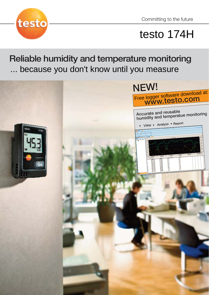

# testo 174H

Reliable humidity and temperature monitoring ... because you don't know until you measure